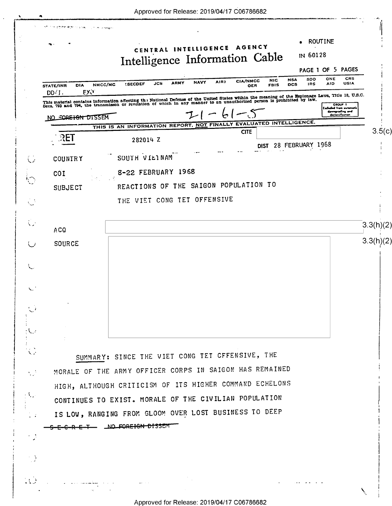$\epsilon$ 

 $\langle \cdot \rangle$  .

 $\omega_{\rm eff}$ 

| CRS<br>ONE<br>SDO<br><b>NSA</b><br><b>NIC</b><br><b>CIA/NMCC</b><br>AIR)<br><b>NAVY</b><br><b>ARMY</b><br>USIA<br><b>JCS</b><br><b>AID</b><br><b>SECDEF</b><br><b>IRS</b><br>NMCC/MC<br><b>DCS</b><br><b>FBIS</b><br><b>DIA</b><br><b>OER</b><br>EXV<br>This material contains information affecting the National Defense of the United States within the meaning of the Espionage Laws, Title 18, U.S.C.<br>Secs. 793 and 794, the transmisson or revelation of which in any manner to a<br>Escluded from autor<br>downgrading and<br>declessification<br>NO SORETGN DISSEM<br>THIS IS AN INFORMATION REPORT, NOT FINALLY EVALUATED INTELLIGENCE.<br><b>CITE</b><br><b>RET</b><br>282014 Z<br>28 FEBRUARY 1968<br>DIST<br>SOUTH VIEINAM<br>8-22 FEBRUARY 1968<br>SAIGON POPULATION TO<br>REACTIONS OF THE<br>THE VIET CONG TET OFFENSIVE<br>SUMMARY: SINCE THE VIET CONG TET CFFENSIVE, THE<br>MORALE OF THE ARMY OFFICER CORPS IN SAIGON HAS REMAINED<br>HIGH, ALTHOUGH CRITICISM OF ITS HIGHER COMMAND ECHELONS<br>CONTINUES TO EXIST. MORALE OF THE CIVILIAN POPULATION<br>IS LOW, RANGING FROM GLOOM OVER LOST BUSINESS TO DEEP<br>E-C-R E-T- LNO FOREIGN DISSEM |                     | CENTRAL INTELLIGENCE AGENCY<br>IN 60128<br>Intelligence Information Cable |
|-----------------------------------------------------------------------------------------------------------------------------------------------------------------------------------------------------------------------------------------------------------------------------------------------------------------------------------------------------------------------------------------------------------------------------------------------------------------------------------------------------------------------------------------------------------------------------------------------------------------------------------------------------------------------------------------------------------------------------------------------------------------------------------------------------------------------------------------------------------------------------------------------------------------------------------------------------------------------------------------------------------------------------------------------------------------------------------------------------------------------------------------------------------------------|---------------------|---------------------------------------------------------------------------|
|                                                                                                                                                                                                                                                                                                                                                                                                                                                                                                                                                                                                                                                                                                                                                                                                                                                                                                                                                                                                                                                                                                                                                                       |                     | PAGE 1 OF 5 PAGES                                                         |
|                                                                                                                                                                                                                                                                                                                                                                                                                                                                                                                                                                                                                                                                                                                                                                                                                                                                                                                                                                                                                                                                                                                                                                       | STATE/INR<br>DD: I. |                                                                           |
|                                                                                                                                                                                                                                                                                                                                                                                                                                                                                                                                                                                                                                                                                                                                                                                                                                                                                                                                                                                                                                                                                                                                                                       |                     |                                                                           |
|                                                                                                                                                                                                                                                                                                                                                                                                                                                                                                                                                                                                                                                                                                                                                                                                                                                                                                                                                                                                                                                                                                                                                                       |                     |                                                                           |
|                                                                                                                                                                                                                                                                                                                                                                                                                                                                                                                                                                                                                                                                                                                                                                                                                                                                                                                                                                                                                                                                                                                                                                       |                     |                                                                           |
|                                                                                                                                                                                                                                                                                                                                                                                                                                                                                                                                                                                                                                                                                                                                                                                                                                                                                                                                                                                                                                                                                                                                                                       |                     |                                                                           |
|                                                                                                                                                                                                                                                                                                                                                                                                                                                                                                                                                                                                                                                                                                                                                                                                                                                                                                                                                                                                                                                                                                                                                                       | <b>COUNTRY</b>      |                                                                           |
|                                                                                                                                                                                                                                                                                                                                                                                                                                                                                                                                                                                                                                                                                                                                                                                                                                                                                                                                                                                                                                                                                                                                                                       | COI                 |                                                                           |
|                                                                                                                                                                                                                                                                                                                                                                                                                                                                                                                                                                                                                                                                                                                                                                                                                                                                                                                                                                                                                                                                                                                                                                       | <b>SUBJECT</b>      |                                                                           |
|                                                                                                                                                                                                                                                                                                                                                                                                                                                                                                                                                                                                                                                                                                                                                                                                                                                                                                                                                                                                                                                                                                                                                                       |                     |                                                                           |
|                                                                                                                                                                                                                                                                                                                                                                                                                                                                                                                                                                                                                                                                                                                                                                                                                                                                                                                                                                                                                                                                                                                                                                       |                     |                                                                           |
|                                                                                                                                                                                                                                                                                                                                                                                                                                                                                                                                                                                                                                                                                                                                                                                                                                                                                                                                                                                                                                                                                                                                                                       | A CQ                |                                                                           |
|                                                                                                                                                                                                                                                                                                                                                                                                                                                                                                                                                                                                                                                                                                                                                                                                                                                                                                                                                                                                                                                                                                                                                                       | <b>SOURCE</b>       |                                                                           |
|                                                                                                                                                                                                                                                                                                                                                                                                                                                                                                                                                                                                                                                                                                                                                                                                                                                                                                                                                                                                                                                                                                                                                                       |                     |                                                                           |
|                                                                                                                                                                                                                                                                                                                                                                                                                                                                                                                                                                                                                                                                                                                                                                                                                                                                                                                                                                                                                                                                                                                                                                       |                     |                                                                           |
|                                                                                                                                                                                                                                                                                                                                                                                                                                                                                                                                                                                                                                                                                                                                                                                                                                                                                                                                                                                                                                                                                                                                                                       |                     |                                                                           |
|                                                                                                                                                                                                                                                                                                                                                                                                                                                                                                                                                                                                                                                                                                                                                                                                                                                                                                                                                                                                                                                                                                                                                                       |                     |                                                                           |
|                                                                                                                                                                                                                                                                                                                                                                                                                                                                                                                                                                                                                                                                                                                                                                                                                                                                                                                                                                                                                                                                                                                                                                       |                     |                                                                           |
|                                                                                                                                                                                                                                                                                                                                                                                                                                                                                                                                                                                                                                                                                                                                                                                                                                                                                                                                                                                                                                                                                                                                                                       |                     |                                                                           |
|                                                                                                                                                                                                                                                                                                                                                                                                                                                                                                                                                                                                                                                                                                                                                                                                                                                                                                                                                                                                                                                                                                                                                                       |                     |                                                                           |
|                                                                                                                                                                                                                                                                                                                                                                                                                                                                                                                                                                                                                                                                                                                                                                                                                                                                                                                                                                                                                                                                                                                                                                       |                     |                                                                           |
|                                                                                                                                                                                                                                                                                                                                                                                                                                                                                                                                                                                                                                                                                                                                                                                                                                                                                                                                                                                                                                                                                                                                                                       |                     |                                                                           |
|                                                                                                                                                                                                                                                                                                                                                                                                                                                                                                                                                                                                                                                                                                                                                                                                                                                                                                                                                                                                                                                                                                                                                                       |                     |                                                                           |
|                                                                                                                                                                                                                                                                                                                                                                                                                                                                                                                                                                                                                                                                                                                                                                                                                                                                                                                                                                                                                                                                                                                                                                       |                     |                                                                           |
|                                                                                                                                                                                                                                                                                                                                                                                                                                                                                                                                                                                                                                                                                                                                                                                                                                                                                                                                                                                                                                                                                                                                                                       |                     |                                                                           |
|                                                                                                                                                                                                                                                                                                                                                                                                                                                                                                                                                                                                                                                                                                                                                                                                                                                                                                                                                                                                                                                                                                                                                                       |                     |                                                                           |
|                                                                                                                                                                                                                                                                                                                                                                                                                                                                                                                                                                                                                                                                                                                                                                                                                                                                                                                                                                                                                                                                                                                                                                       |                     |                                                                           |
|                                                                                                                                                                                                                                                                                                                                                                                                                                                                                                                                                                                                                                                                                                                                                                                                                                                                                                                                                                                                                                                                                                                                                                       |                     |                                                                           |

 $\lambda$ 

 $\bar{\mathcal{L}}$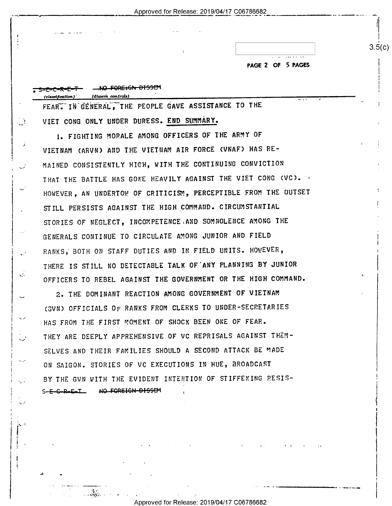Approved for Release: 2019/04/17 C06786682

|  |  | <b>NACE 2 OF 5 BACES</b> |
|--|--|--------------------------|

| (classification) | (dissem controls)                                   |  |  |  | $\cdots$ |  |
|------------------|-----------------------------------------------------|--|--|--|----------|--|
|                  | FEAR. IN GENERAL, THE PEOPLE GAVE ASSISTANCE TO THE |  |  |  |          |  |

VIET CONG ONLY UNDER DURESS. END SUMMARY.

 $\mathbb{R}^3$ 

 $\sim 2$ 

فن

 $\sqrt{2}$ 

1. FIGHTING MORALE AMONG OFFICERS OF THE ARMY OF VIETNAM (ARVN) AND THE VIETNAM AIR FORCE (VNAF) HAS RE-MAINED CONSISTENTLY HIGH, WITH THE CONTINUING CONVICTION THAT THE BATTLE HAS GONE HEAVILY AGAINST THE VIET CONG (VC). . HOWEVER, AN UNDERTOW OF CRITICISM, PERCEPTIBLE FROM THE OUTSET STILL PERSISTS AGAINST THE HIGH COMMAND. CIRCUMSTANTIAL STORIES OF NEGLECT, INCOMPETENCE AND SOMNOLENCE AMONG THE GENERALS CONTINUE TO CIRCULATE AMONG JUNIOR AND FIELD RANKS, BOTH ON STAFF DUTIES AND IN FIELD UNITS. HOWEVER, THERE IS STILL NO DETECTABLE TALK OF ANY PLANNING BY JUNIOR OFFICERS TO REBEL AGAINST THE GOVERNMENT OR THE HIGH COMMAND.

2. THE DOMINANT REACTION AMONG GOVERNMENT OF VIETNAM GOUN) OFFICIALS OF RANKS FROM CLERKS TO UNDER-SECRETARIES HAS FROM THE FIRST MOMENT OF SHOCK BEEN ONE OF FEAR. THEY ARE DEEPLY APPREHENSIVE OF VC REPRISALS AGAINST THEM-SELVES AND THEIR FAMILIES SHOULD A SECOND ATTACK BE MADE ON SAIGON. STORIES OF VC EXECUTIONS IN HUE, BROADCAST BY THE GUN WITH THE EVIDENT INTENTION OF STIFFENING RESIS-NO FOREIGN DISSEM  $S-<sub>5</sub>-<sub>6</sub>-<sub>8</sub>-<sub>6</sub>-<sub>1</sub>$ 

 $3.5(c)$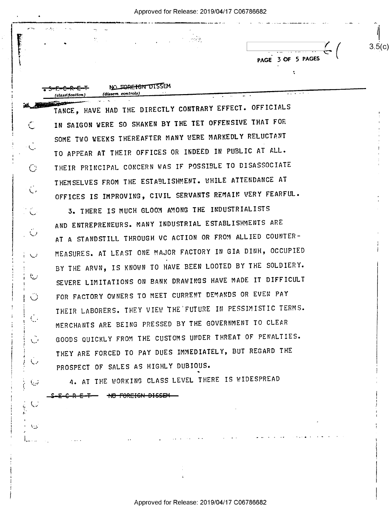\_ Approved for Release: 2019/04/17 C06786682

r "'r' - 1.. . ., ÷. وأشربت  $\begin{bmatrix} 1 & 3 & 3 & 5 \end{bmatrix}$  ...  $\begin{bmatrix} 2 & 3 & 3 & 6 \end{bmatrix}$  ... I - 1 NO FORE TON DISSEM (claud fication) (dissem controls)  $\ddotsc$ \_ \_\_. m 1\_L . TANCE, HAVE HAD THE DIRECTLY CONTRARY EFFECT. OFFICIALS IN SAIGON WERE SO SHAKEN BY THE TET OFFENSIVE THAT FOR SOME TWO WEEKS THEREAFTER MANY NERE MARKEDLY RELUCTANT  $\setminus$  . TO APPEAR AT THEIR OFFICES OR INDEED IN PUBLIC AT ALL. Q} THEIR PRINCIPAL CONCERN NAS IF POSSIBLE TO DISASSOCIATE THEMSELVES FROM THE ESTABLISHMENT. WHILE ATTENDANCE AT L, OFFICES IS IMPROVING, CIVIL SERVANTS REMAIN VERY FEARFUL. 3. THERE IS MUCH GLOOM AMONG THE INDUSTRIALISTS AND ENTREPRENEURS. MANY INDUSTRIAL ESTABLISHMENTS ARE  $1$  AT A STANDSTILL THROUGH VC ACTION OR FROM ALLIED COUNTER-\; MEASURES. AT LEAST ONE MAJOR FACTORY IN GIA DINH, OCCUPIED BY THE ARVN, IS KNOWN TO HAVE BEEN LOOTED BY THE SOLDIERY. SEVERE LIMITATIONS ON BANK DRAWINGS HAVE MADE IT DIFFICULT ا سنة ال FOR FACTORY OWNERS TO MEET CURRENT DEMANDS OR EVEN PAY THEIR LABORERS. THEY VIEW THE FUTURE IN PESSIMISTIC TERMS. <sup>I</sup>I.' MERCHANTS ARE BEING PRESSED BY THE GOVERNMENT TO CLEAR ' GOODS QUICKLY FROM THE CUSTOMS UNDER THREAT OF PENALTIES. THEY ARE FORCED TO PAY DUES IMMEDIATELY, BUT REGARD THE -1 . <sup>I</sup>K.' PROSPECT OF SALES AS HIGHLY DUBIOUS. 4. AT THE WORKING CLASS LEVEL THERE IS WIDESPREAD  $\cup$ 

 $-$ E-F— NO FOREIGN DISSEM

A

I I

I

I

II K?' I.

 $\setminus$ 

Ł

Approved for Release: 2019/04/17 C06786682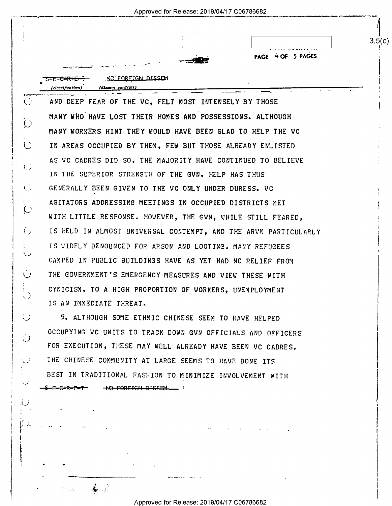|                                                                 | 4 OF 5 PAGES<br>PAGE |
|-----------------------------------------------------------------|----------------------|
| NO FORETGN DISSEM                                               |                      |
| (dissem controls)<br>(classification                            |                      |
| AND DEEP FEAR OF THE VC, FELT MOST INTENSELY BY THOSE           |                      |
| MANY WHO HAVE LOST THEIR HOMES AND POSSESSIONS. ALTHOUGH        |                      |
| MANY WORKERS HINT THEY WOULD HAVE BEEN GLAD TO HELP THE VC      |                      |
| IN AREAS OCCUPIED BY THEM, FEW BUT THOSE ALREADY ENLISTED       |                      |
| AS VC CADRES DID SO. THE MAJORITY HAVE CONTINUED TO BELIEVE     |                      |
| IN THE SUPERIOR STRENGTH OF THE GVN. HELP HAS THUS              |                      |
| GENERALLY BEEN GIVEN TO THE VC ONLY UNDER DURESS. VC            |                      |
| AGITATORS ADDRESSING MEETINGS IN OCCUPIED DISTRICTS MET         |                      |
| WITH LITTLE RESPONSE. HOWEVER, THE GVN, WHILE STILL FEARED,     |                      |
| IS HELD IN ALMOST UNIVERSAL CONTEMPT, AND THE ARVN PARTICULARLY |                      |
| IS WIDELY DENOUNCED FOR ARSON AND LOOTING. MANY REFUGEES        |                      |
| CAMPED IN PUBLIC BUILDINGS HAVE AS YET HAD NO RELIEF FROM       |                      |
| THE GOVERNMENT'S EMERGENCY MEASURES AND VIEW THESE WITH         |                      |
| CYNICISM. TO A HIGH PROPORTION OF WORKERS, UNEMPLOYMENT         |                      |
| IS AN IMMEDIATE THREAT.                                         |                      |
| 5. ALTHOUGH SOME ETHNIC CHINESE SEEM TO HAVE HELPED             |                      |

THE CHINESE COMMUNITY AT LARGE SEEMS TO HAVE DONE ITS BEST IN TRADITIONAL FASHION TO MINIMIZE INVOLVEMENT WITH  $$E-C+R-E-T$  -  $$$  +  $$$  FOREIGN DISSEM  $$$ 

~..

 $\sim$ 

i)

 $\mathcal{L} = \mathcal{L} \mathcal{L}$ 

Approved for Release: 2019/04/17 C06786682